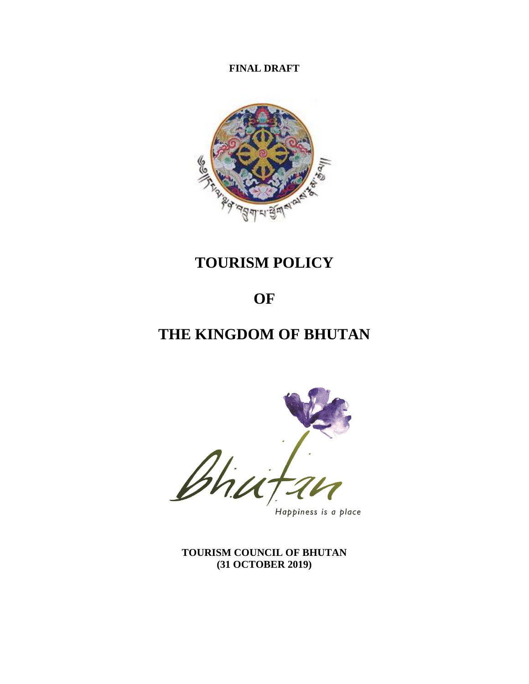**FINAL DRAFT** 



# **TOURISM POLICY**

# **OF**

# **THE KINGDOM OF BHUTAN**



Happiness is a place

**TOURISM COUNCIL OF BHUTAN (31 OCTOBER 2019)**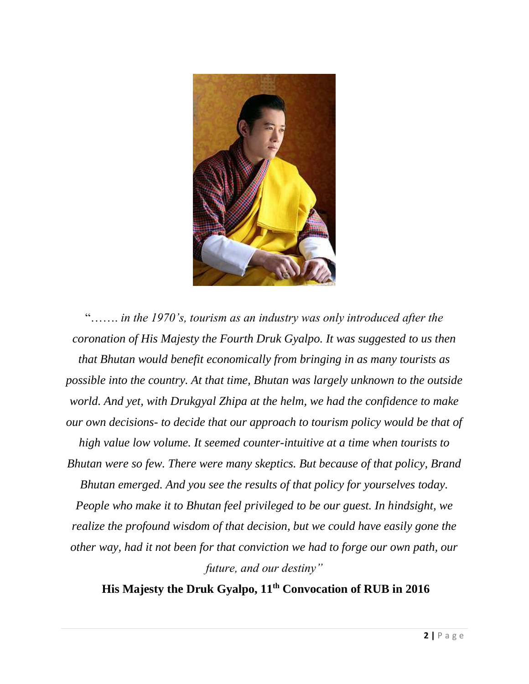

"……. *in the 1970's, tourism as an industry was only introduced after the coronation of His Majesty the Fourth Druk Gyalpo. It was suggested to us then that Bhutan would benefit economically from bringing in as many tourists as possible into the country. At that time, Bhutan was largely unknown to the outside world. And yet, with Drukgyal Zhipa at the helm, we had the confidence to make our own decisions- to decide that our approach to tourism policy would be that of high value low volume. It seemed counter-intuitive at a time when tourists to Bhutan were so few. There were many skeptics. But because of that policy, Brand Bhutan emerged. And you see the results of that policy for yourselves today. People who make it to Bhutan feel privileged to be our guest. In hindsight, we realize the profound wisdom of that decision, but we could have easily gone the other way, had it not been for that conviction we had to forge our own path, our future, and our destiny"*

**His Majesty the Druk Gyalpo, 11th Convocation of RUB in 2016**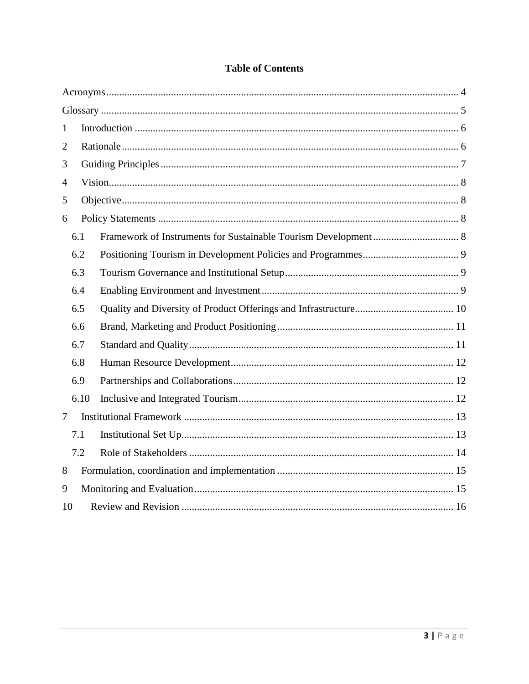| 1              |      |  |  |  |  |  |
|----------------|------|--|--|--|--|--|
| $\overline{2}$ |      |  |  |  |  |  |
| 3              |      |  |  |  |  |  |
| $\overline{4}$ |      |  |  |  |  |  |
| 5              |      |  |  |  |  |  |
| 6              |      |  |  |  |  |  |
|                | 6.1  |  |  |  |  |  |
|                | 6.2  |  |  |  |  |  |
|                | 6.3  |  |  |  |  |  |
|                | 6.4  |  |  |  |  |  |
|                | 6.5  |  |  |  |  |  |
|                | 6.6  |  |  |  |  |  |
|                | 6.7  |  |  |  |  |  |
|                | 6.8  |  |  |  |  |  |
|                | 6.9  |  |  |  |  |  |
|                | 6.10 |  |  |  |  |  |
| $\tau$         |      |  |  |  |  |  |
|                | 7.1  |  |  |  |  |  |
|                | 7.2  |  |  |  |  |  |
| 8              |      |  |  |  |  |  |
| 9              |      |  |  |  |  |  |
| 10             |      |  |  |  |  |  |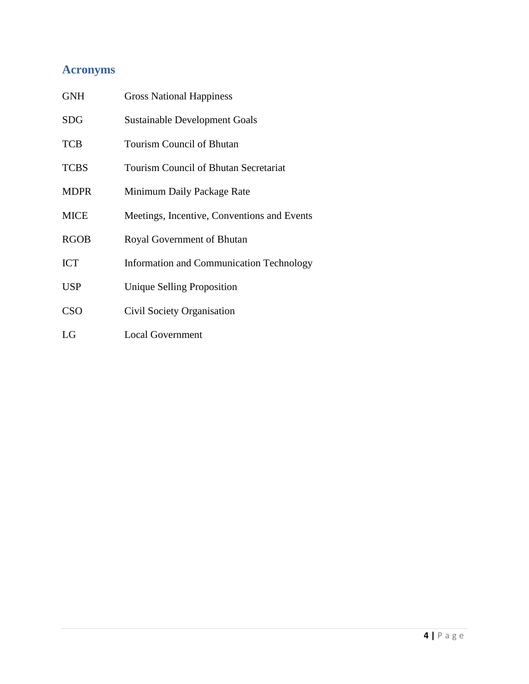# <span id="page-3-0"></span>**Acronyms**

| <b>GNH</b>  | <b>Gross National Happiness</b>                 |
|-------------|-------------------------------------------------|
| <b>SDG</b>  | <b>Sustainable Development Goals</b>            |
| <b>TCB</b>  | <b>Tourism Council of Bhutan</b>                |
| <b>TCBS</b> | <b>Tourism Council of Bhutan Secretariat</b>    |
| <b>MDPR</b> | Minimum Daily Package Rate                      |
| <b>MICE</b> | Meetings, Incentive, Conventions and Events     |
| <b>RGOB</b> | Royal Government of Bhutan                      |
| <b>ICT</b>  | <b>Information and Communication Technology</b> |
| <b>USP</b>  | <b>Unique Selling Proposition</b>               |
| <b>CSO</b>  | Civil Society Organisation                      |
| LG          | <b>Local Government</b>                         |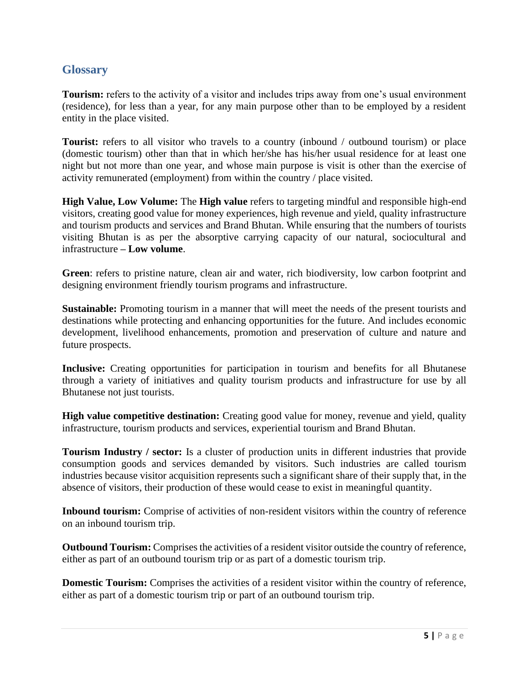## <span id="page-4-0"></span>**Glossary**

**Tourism:** refers to the activity of a visitor and includes trips away from one's usual environment (residence), for less than a year, for any main purpose other than to be employed by a resident entity in the place visited.

**Tourist:** refers to all visitor who travels to a country (inbound / outbound tourism) or place (domestic tourism) other than that in which her/she has his/her usual residence for at least one night but not more than one year, and whose main purpose is visit is other than the exercise of activity remunerated (employment) from within the country / place visited.

**High Value, Low Volume:** The **High value** refers to targeting mindful and responsible high-end visitors, creating good value for money experiences, high revenue and yield, quality infrastructure and tourism products and services and Brand Bhutan. While ensuring that the numbers of tourists visiting Bhutan is as per the absorptive carrying capacity of our natural, sociocultural and infrastructure **– Low volume**.

**Green**: refers to pristine nature, clean air and water, rich biodiversity, low carbon footprint and designing environment friendly tourism programs and infrastructure.

**Sustainable:** Promoting tourism in a manner that will meet the needs of the present tourists and destinations while protecting and enhancing opportunities for the future. And includes economic development, livelihood enhancements, promotion and preservation of culture and nature and future prospects.

**Inclusive:** Creating opportunities for participation in tourism and benefits for all Bhutanese through a variety of initiatives and quality tourism products and infrastructure for use by all Bhutanese not just tourists.

**High value competitive destination:** Creating good value for money, revenue and yield, quality infrastructure, tourism products and services, experiential tourism and Brand Bhutan.

**Tourism Industry / sector:** Is a cluster of production units in different industries that provide consumption goods and services demanded by visitors. Such industries are called tourism industries because visitor acquisition represents such a significant share of their supply that, in the absence of visitors, their production of these would cease to exist in meaningful quantity.

**Inbound tourism:** Comprise of activities of non-resident visitors within the country of reference on an inbound tourism trip.

**Outbound Tourism:** Comprises the activities of a resident visitor outside the country of reference, either as part of an outbound tourism trip or as part of a domestic tourism trip.

**Domestic Tourism:** Comprises the activities of a resident visitor within the country of reference, either as part of a domestic tourism trip or part of an outbound tourism trip.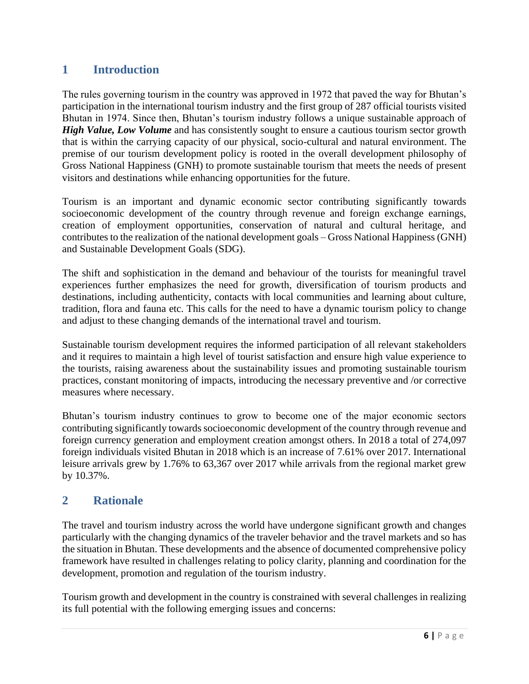# <span id="page-5-0"></span>**1 Introduction**

The rules governing tourism in the country was approved in 1972 that paved the way for Bhutan's participation in the international tourism industry and the first group of 287 official tourists visited Bhutan in 1974. Since then, Bhutan's tourism industry follows a unique sustainable approach of *High Value, Low Volume* and has consistently sought to ensure a cautious tourism sector growth that is within the carrying capacity of our physical, socio-cultural and natural environment. The premise of our tourism development policy is rooted in the overall development philosophy of Gross National Happiness (GNH) to promote sustainable tourism that meets the needs of present visitors and destinations while enhancing opportunities for the future.

Tourism is an important and dynamic economic sector contributing significantly towards socioeconomic development of the country through revenue and foreign exchange earnings, creation of employment opportunities, conservation of natural and cultural heritage, and contributes to the realization of the national development goals – Gross National Happiness (GNH) and Sustainable Development Goals (SDG).

The shift and sophistication in the demand and behaviour of the tourists for meaningful travel experiences further emphasizes the need for growth, diversification of tourism products and destinations, including authenticity, contacts with local communities and learning about culture, tradition, flora and fauna etc. This calls for the need to have a dynamic tourism policy to change and adjust to these changing demands of the international travel and tourism.

Sustainable tourism development requires the informed participation of all relevant stakeholders and it requires to maintain a high level of tourist satisfaction and ensure high value experience to the tourists, raising awareness about the sustainability issues and promoting sustainable tourism practices, constant monitoring of impacts, introducing the necessary preventive and /or corrective measures where necessary.

Bhutan's tourism industry continues to grow to become one of the major economic sectors contributing significantly towards socioeconomic development of the country through revenue and foreign currency generation and employment creation amongst others. In 2018 a total of 274,097 foreign individuals visited Bhutan in 2018 which is an increase of 7.61% over 2017. International leisure arrivals grew by 1.76% to 63,367 over 2017 while arrivals from the regional market grew by 10.37%.

## <span id="page-5-1"></span>**2 Rationale**

The travel and tourism industry across the world have undergone significant growth and changes particularly with the changing dynamics of the traveler behavior and the travel markets and so has the situation in Bhutan. These developments and the absence of documented comprehensive policy framework have resulted in challenges relating to policy clarity, planning and coordination for the development, promotion and regulation of the tourism industry.

Tourism growth and development in the country is constrained with several challenges in realizing its full potential with the following emerging issues and concerns: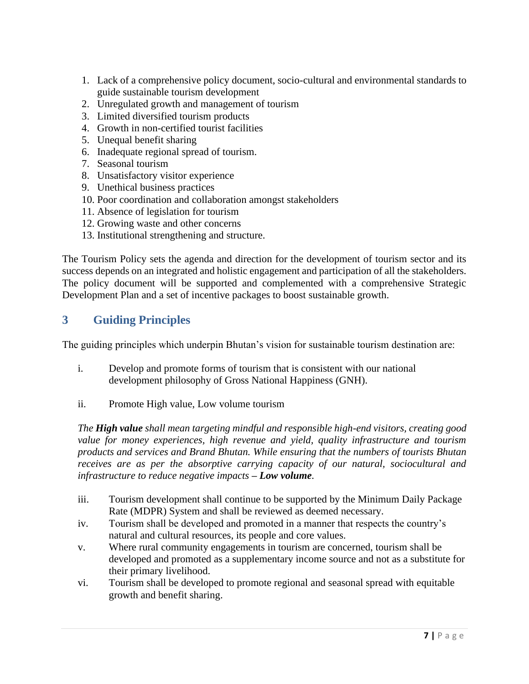- 1. Lack of a comprehensive policy document, socio-cultural and environmental standards to guide sustainable tourism development
- 2. Unregulated growth and management of tourism
- 3. Limited diversified tourism products
- 4. Growth in non-certified tourist facilities
- 5. Unequal benefit sharing
- 6. Inadequate regional spread of tourism.
- 7. Seasonal tourism
- 8. Unsatisfactory visitor experience
- 9. Unethical business practices
- 10. Poor coordination and collaboration amongst stakeholders
- 11. Absence of legislation for tourism
- 12. Growing waste and other concerns
- 13. Institutional strengthening and structure.

The Tourism Policy sets the agenda and direction for the development of tourism sector and its success depends on an integrated and holistic engagement and participation of all the stakeholders. The policy document will be supported and complemented with a comprehensive Strategic Development Plan and a set of incentive packages to boost sustainable growth.

# <span id="page-6-0"></span>**3 Guiding Principles**

The guiding principles which underpin Bhutan's vision for sustainable tourism destination are:

- i. Develop and promote forms of tourism that is consistent with our national development philosophy of Gross National Happiness (GNH).
- ii. Promote High value, Low volume tourism

*The High value shall mean targeting mindful and responsible high-end visitors, creating good value for money experiences, high revenue and yield, quality infrastructure and tourism products and services and Brand Bhutan. While ensuring that the numbers of tourists Bhutan receives are as per the absorptive carrying capacity of our natural, sociocultural and infrastructure to reduce negative impacts – Low volume.*

- iii. Tourism development shall continue to be supported by the Minimum Daily Package Rate (MDPR) System and shall be reviewed as deemed necessary.
- iv. Tourism shall be developed and promoted in a manner that respects the country's natural and cultural resources, its people and core values.
- v. Where rural community engagements in tourism are concerned, tourism shall be developed and promoted as a supplementary income source and not as a substitute for their primary livelihood.
- vi. Tourism shall be developed to promote regional and seasonal spread with equitable growth and benefit sharing.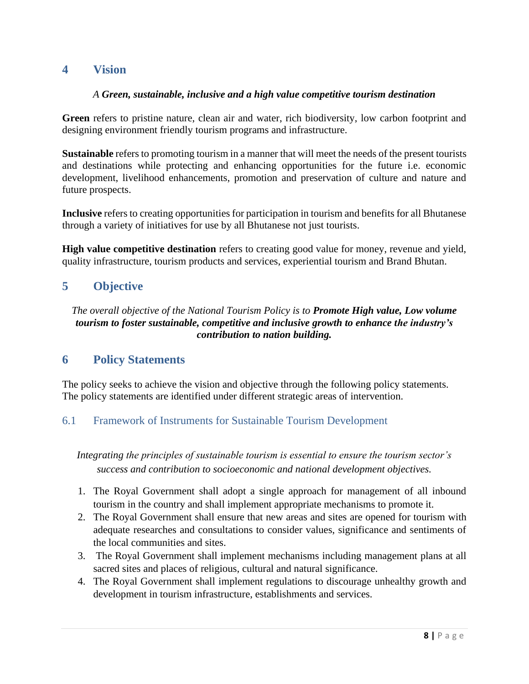## <span id="page-7-0"></span>**4 Vision**

#### *A Green, sustainable, inclusive and a high value competitive tourism destination*

**Green** refers to pristine nature, clean air and water, rich biodiversity, low carbon footprint and designing environment friendly tourism programs and infrastructure.

**Sustainable** refers to promoting tourism in a manner that will meet the needs of the present tourists and destinations while protecting and enhancing opportunities for the future i.e. economic development, livelihood enhancements, promotion and preservation of culture and nature and future prospects.

**Inclusive** refers to creating opportunities for participation in tourism and benefits for all Bhutanese through a variety of initiatives for use by all Bhutanese not just tourists.

**High value competitive destination** refers to creating good value for money, revenue and yield, quality infrastructure, tourism products and services, experiential tourism and Brand Bhutan.

## <span id="page-7-1"></span>**5 Objective**

*The overall objective of the National Tourism Policy is to Promote High value, Low volume tourism to foster sustainable, competitive and inclusive growth to enhance the industry's contribution to nation building.*

## <span id="page-7-2"></span>**6 Policy Statements**

The policy seeks to achieve the vision and objective through the following policy statements. The policy statements are identified under different strategic areas of intervention.

## <span id="page-7-3"></span>6.1 Framework of Instruments for Sustainable Tourism Development

*Integrating the principles of sustainable tourism is essential to ensure the tourism sector's success and contribution to socioeconomic and national development objectives.*

- 1. The Royal Government shall adopt a single approach for management of all inbound tourism in the country and shall implement appropriate mechanisms to promote it.
- 2. The Royal Government shall ensure that new areas and sites are opened for tourism with adequate researches and consultations to consider values, significance and sentiments of the local communities and sites.
- 3. The Royal Government shall implement mechanisms including management plans at all sacred sites and places of religious, cultural and natural significance.
- 4. The Royal Government shall implement regulations to discourage unhealthy growth and development in tourism infrastructure, establishments and services.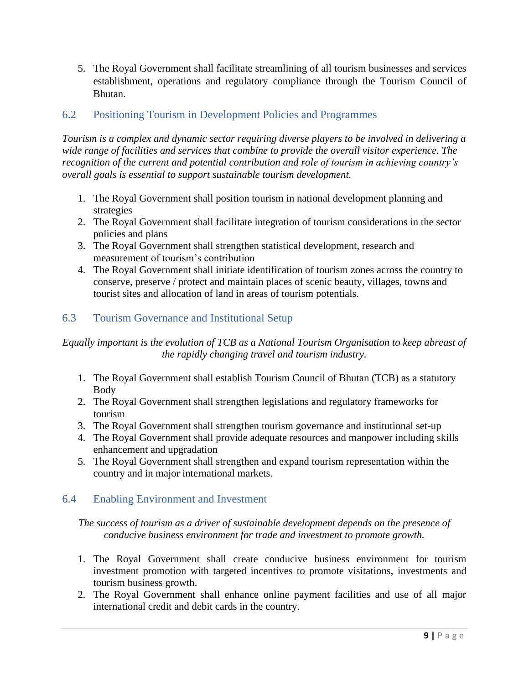5. The Royal Government shall facilitate streamlining of all tourism businesses and services establishment, operations and regulatory compliance through the Tourism Council of Bhutan.

## <span id="page-8-0"></span>6.2 Positioning Tourism in Development Policies and Programmes

*Tourism is a complex and dynamic sector requiring diverse players to be involved in delivering a wide range of facilities and services that combine to provide the overall visitor experience. The recognition of the current and potential contribution and role of tourism in achieving country's overall goals is essential to support sustainable tourism development.*

- 1. The Royal Government shall position tourism in national development planning and strategies
- 2. The Royal Government shall facilitate integration of tourism considerations in the sector policies and plans
- 3. The Royal Government shall strengthen statistical development, research and measurement of tourism's contribution
- 4. The Royal Government shall initiate identification of tourism zones across the country to conserve, preserve / protect and maintain places of scenic beauty, villages, towns and tourist sites and allocation of land in areas of tourism potentials.

## <span id="page-8-1"></span>6.3 Tourism Governance and Institutional Setup

*Equally important is the evolution of TCB as a National Tourism Organisation to keep abreast of the rapidly changing travel and tourism industry.*

- 1. The Royal Government shall establish Tourism Council of Bhutan (TCB) as a statutory Body
- 2. The Royal Government shall strengthen legislations and regulatory frameworks for tourism
- 3. The Royal Government shall strengthen tourism governance and institutional set-up
- 4. The Royal Government shall provide adequate resources and manpower including skills enhancement and upgradation
- 5. The Royal Government shall strengthen and expand tourism representation within the country and in major international markets.

#### <span id="page-8-2"></span>6.4 Enabling Environment and Investment

*The success of tourism as a driver of sustainable development depends on the presence of conducive business environment for trade and investment to promote growth.*

- 1. The Royal Government shall create conducive business environment for tourism investment promotion with targeted incentives to promote visitations, investments and tourism business growth.
- 2. The Royal Government shall enhance online payment facilities and use of all major international credit and debit cards in the country.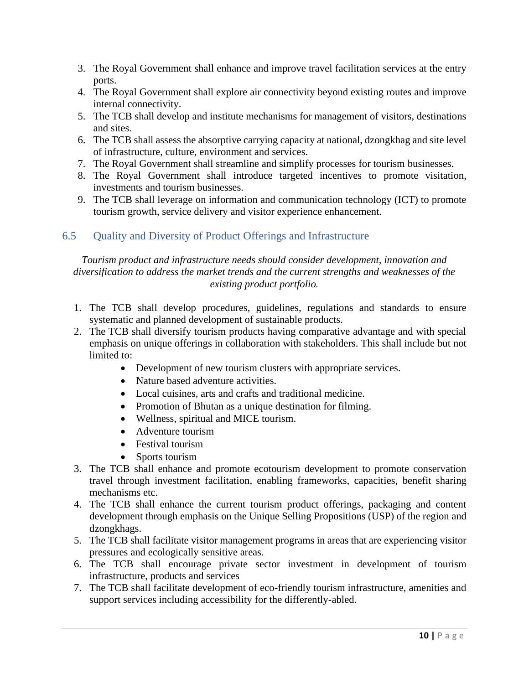- 3. The Royal Government shall enhance and improve travel facilitation services at the entry ports.
- 4. The Royal Government shall explore air connectivity beyond existing routes and improve internal connectivity.
- 5. The TCB shall develop and institute mechanisms for management of visitors, destinations and sites.
- 6. The TCB shall assess the absorptive carrying capacity at national, dzongkhag and site level of infrastructure, culture, environment and services.
- 7. The Royal Government shall streamline and simplify processes for tourism businesses.
- 8. The Royal Government shall introduce targeted incentives to promote visitation, investments and tourism businesses.
- 9. The TCB shall leverage on information and communication technology (ICT) to promote tourism growth, service delivery and visitor experience enhancement.

## <span id="page-9-0"></span>6.5 Quality and Diversity of Product Offerings and Infrastructure

#### *Tourism product and infrastructure needs should consider development, innovation and diversification to address the market trends and the current strengths and weaknesses of the existing product portfolio.*

- 1. The TCB shall develop procedures, guidelines, regulations and standards to ensure systematic and planned development of sustainable products.
- 2. The TCB shall diversify tourism products having comparative advantage and with special emphasis on unique offerings in collaboration with stakeholders. This shall include but not limited to:
	- Development of new tourism clusters with appropriate services.
	- Nature based adventure activities.
	- Local cuisines, arts and crafts and traditional medicine.
	- Promotion of Bhutan as a unique destination for filming.
	- Wellness, spiritual and MICE tourism.
	- Adventure tourism
	- Festival tourism
	- Sports tourism
- 3. The TCB shall enhance and promote ecotourism development to promote conservation travel through investment facilitation, enabling frameworks, capacities, benefit sharing mechanisms etc.
- 4. The TCB shall enhance the current tourism product offerings, packaging and content development through emphasis on the Unique Selling Propositions (USP) of the region and dzongkhags.
- 5. The TCB shall facilitate visitor management programs in areas that are experiencing visitor pressures and ecologically sensitive areas.
- 6. The TCB shall encourage private sector investment in development of tourism infrastructure, products and services
- 7. The TCB shall facilitate development of eco-friendly tourism infrastructure, amenities and support services including accessibility for the differently-abled.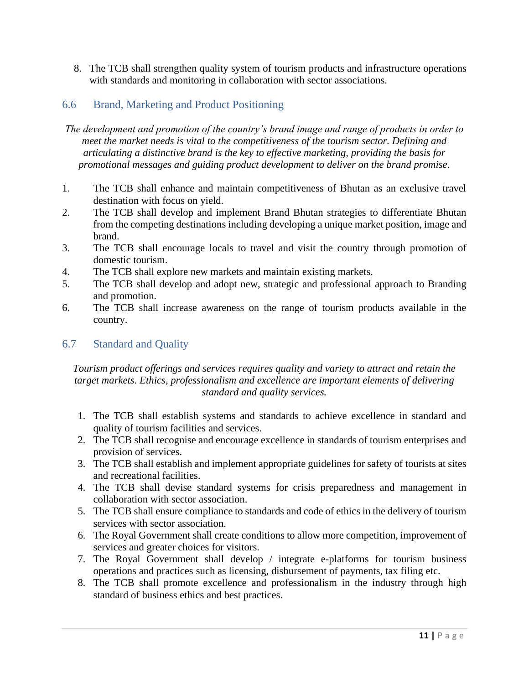8. The TCB shall strengthen quality system of tourism products and infrastructure operations with standards and monitoring in collaboration with sector associations.

## <span id="page-10-0"></span>6.6 Brand, Marketing and Product Positioning

*The development and promotion of the country's brand image and range of products in order to meet the market needs is vital to the competitiveness of the tourism sector. Defining and articulating a distinctive brand is the key to effective marketing, providing the basis for promotional messages and guiding product development to deliver on the brand promise.*

- 1. The TCB shall enhance and maintain competitiveness of Bhutan as an exclusive travel destination with focus on yield.
- 2. The TCB shall develop and implement Brand Bhutan strategies to differentiate Bhutan from the competing destinations including developing a unique market position, image and brand.
- 3. The TCB shall encourage locals to travel and visit the country through promotion of domestic tourism.
- 4. The TCB shall explore new markets and maintain existing markets.
- 5. The TCB shall develop and adopt new, strategic and professional approach to Branding and promotion.
- 6. The TCB shall increase awareness on the range of tourism products available in the country.

## <span id="page-10-1"></span>6.7 Standard and Quality

#### *Tourism product offerings and services requires quality and variety to attract and retain the target markets. Ethics, professionalism and excellence are important elements of delivering standard and quality services.*

- 1. The TCB shall establish systems and standards to achieve excellence in standard and quality of tourism facilities and services.
- 2. The TCB shall recognise and encourage excellence in standards of tourism enterprises and provision of services.
- 3. The TCB shall establish and implement appropriate guidelines for safety of tourists at sites and recreational facilities.
- 4. The TCB shall devise standard systems for crisis preparedness and management in collaboration with sector association.
- 5. The TCB shall ensure compliance to standards and code of ethics in the delivery of tourism services with sector association.
- 6. The Royal Government shall create conditions to allow more competition, improvement of services and greater choices for visitors.
- 7. The Royal Government shall develop / integrate e-platforms for tourism business operations and practices such as licensing, disbursement of payments, tax filing etc.
- 8. The TCB shall promote excellence and professionalism in the industry through high standard of business ethics and best practices.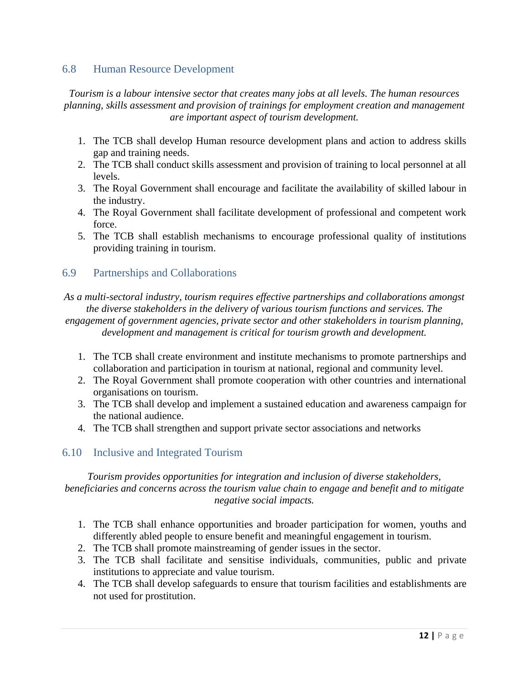#### <span id="page-11-0"></span>6.8 Human Resource Development

*Tourism is a labour intensive sector that creates many jobs at all levels. The human resources planning, skills assessment and provision of trainings for employment creation and management are important aspect of tourism development.*

- 1. The TCB shall develop Human resource development plans and action to address skills gap and training needs.
- 2. The TCB shall conduct skills assessment and provision of training to local personnel at all levels.
- 3. The Royal Government shall encourage and facilitate the availability of skilled labour in the industry.
- 4. The Royal Government shall facilitate development of professional and competent work force.
- 5. The TCB shall establish mechanisms to encourage professional quality of institutions providing training in tourism.

#### <span id="page-11-1"></span>6.9 Partnerships and Collaborations

*As a multi-sectoral industry, tourism requires effective partnerships and collaborations amongst the diverse stakeholders in the delivery of various tourism functions and services. The engagement of government agencies, private sector and other stakeholders in tourism planning, development and management is critical for tourism growth and development.*

- 1. The TCB shall create environment and institute mechanisms to promote partnerships and collaboration and participation in tourism at national, regional and community level.
- 2. The Royal Government shall promote cooperation with other countries and international organisations on tourism.
- 3. The TCB shall develop and implement a sustained education and awareness campaign for the national audience.
- 4. The TCB shall strengthen and support private sector associations and networks

## <span id="page-11-2"></span>6.10 Inclusive and Integrated Tourism

#### *Tourism provides opportunities for integration and inclusion of diverse stakeholders, beneficiaries and concerns across the tourism value chain to engage and benefit and to mitigate negative social impacts.*

- 1. The TCB shall enhance opportunities and broader participation for women, youths and differently abled people to ensure benefit and meaningful engagement in tourism.
- 2. The TCB shall promote mainstreaming of gender issues in the sector.
- 3. The TCB shall facilitate and sensitise individuals, communities, public and private institutions to appreciate and value tourism.
- 4. The TCB shall develop safeguards to ensure that tourism facilities and establishments are not used for prostitution.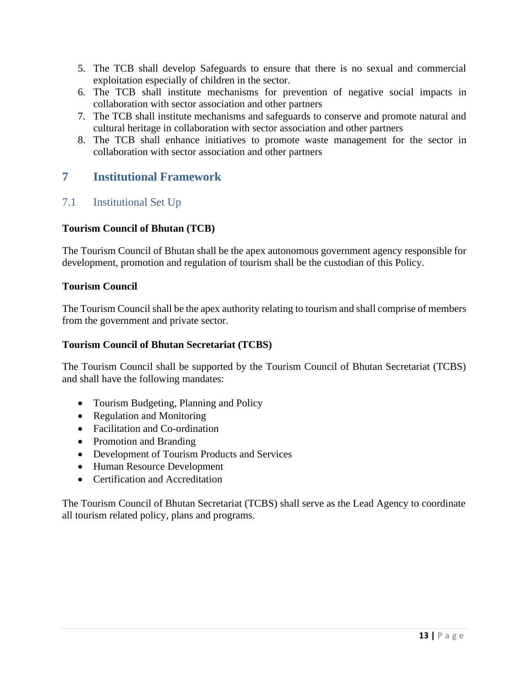- 5. The TCB shall develop Safeguards to ensure that there is no sexual and commercial exploitation especially of children in the sector.
- 6. The TCB shall institute mechanisms for prevention of negative social impacts in collaboration with sector association and other partners
- 7. The TCB shall institute mechanisms and safeguards to conserve and promote natural and cultural heritage in collaboration with sector association and other partners
- 8. The TCB shall enhance initiatives to promote waste management for the sector in collaboration with sector association and other partners

## <span id="page-12-0"></span>**7 Institutional Framework**

## <span id="page-12-1"></span>7.1 Institutional Set Up

#### **Tourism Council of Bhutan (TCB)**

The Tourism Council of Bhutan shall be the apex autonomous government agency responsible for development, promotion and regulation of tourism shall be the custodian of this Policy.

#### **Tourism Council**

The Tourism Council shall be the apex authority relating to tourism and shall comprise of members from the government and private sector.

#### **Tourism Council of Bhutan Secretariat (TCBS)**

The Tourism Council shall be supported by the Tourism Council of Bhutan Secretariat (TCBS) and shall have the following mandates:

- Tourism Budgeting, Planning and Policy
- Regulation and Monitoring
- Facilitation and Co-ordination
- Promotion and Branding
- Development of Tourism Products and Services
- Human Resource Development
- Certification and Accreditation

The Tourism Council of Bhutan Secretariat (TCBS) shall serve as the Lead Agency to coordinate all tourism related policy, plans and programs.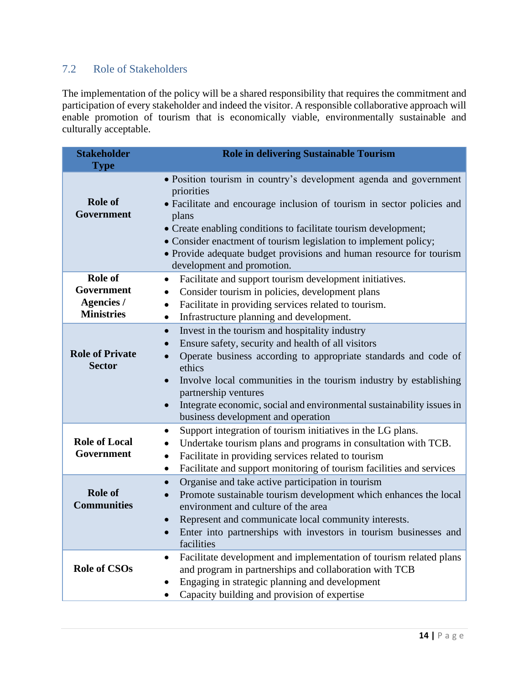# <span id="page-13-0"></span>7.2 Role of Stakeholders

The implementation of the policy will be a shared responsibility that requires the commitment and participation of every stakeholder and indeed the visitor. A responsible collaborative approach will enable promotion of tourism that is economically viable, environmentally sustainable and culturally acceptable.

| <b>Stakeholder</b><br><b>Type</b>                               | Role in delivering Sustainable Tourism                                                                                                                                                                                                                                                                                                                                                                                                            |
|-----------------------------------------------------------------|---------------------------------------------------------------------------------------------------------------------------------------------------------------------------------------------------------------------------------------------------------------------------------------------------------------------------------------------------------------------------------------------------------------------------------------------------|
| <b>Role of</b><br>Government                                    | • Position tourism in country's development agenda and government<br>priorities<br>• Facilitate and encourage inclusion of tourism in sector policies and<br>plans<br>• Create enabling conditions to facilitate tourism development;<br>• Consider enactment of tourism legislation to implement policy;<br>• Provide adequate budget provisions and human resource for tourism<br>development and promotion.                                    |
| Role of<br>Government<br><b>Agencies /</b><br><b>Ministries</b> | Facilitate and support tourism development initiatives.<br>$\bullet$<br>Consider tourism in policies, development plans<br>$\bullet$<br>Facilitate in providing services related to tourism.<br>$\bullet$<br>Infrastructure planning and development.<br>$\bullet$                                                                                                                                                                                |
| <b>Role of Private</b><br><b>Sector</b>                         | Invest in the tourism and hospitality industry<br>$\bullet$<br>Ensure safety, security and health of all visitors<br>Operate business according to appropriate standards and code of<br>$\bullet$<br>ethics<br>Involve local communities in the tourism industry by establishing<br>$\bullet$<br>partnership ventures<br>Integrate economic, social and environmental sustainability issues in<br>$\bullet$<br>business development and operation |
| <b>Role of Local</b><br>Government                              | Support integration of tourism initiatives in the LG plans.<br>Undertake tourism plans and programs in consultation with TCB.<br>Facilitate in providing services related to tourism<br>$\bullet$<br>Facilitate and support monitoring of tourism facilities and services<br>$\bullet$                                                                                                                                                            |
| <b>Role of</b><br><b>Communities</b>                            | Organise and take active participation in tourism<br>$\bullet$<br>Promote sustainable tourism development which enhances the local<br>$\bullet$<br>environment and culture of the area<br>Represent and communicate local community interests.<br>Enter into partnerships with investors in tourism businesses and<br>facilities                                                                                                                  |
| <b>Role of CSOs</b>                                             | Facilitate development and implementation of tourism related plans<br>and program in partnerships and collaboration with TCB<br>Engaging in strategic planning and development<br>Capacity building and provision of expertise                                                                                                                                                                                                                    |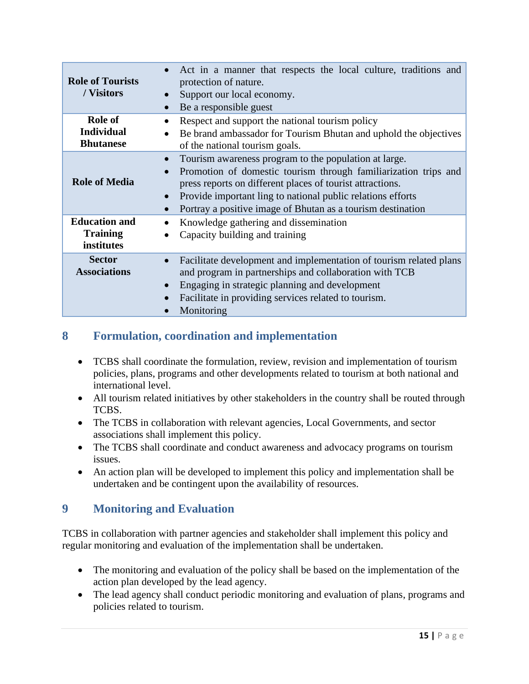| <b>Role of Tourists</b><br>/ Visitors                 | Act in a manner that respects the local culture, traditions and<br>protection of nature.<br>Support our local economy.<br>Be a responsible guest                                                                                                                                                                    |
|-------------------------------------------------------|---------------------------------------------------------------------------------------------------------------------------------------------------------------------------------------------------------------------------------------------------------------------------------------------------------------------|
| Role of<br><b>Individual</b><br><b>Bhutanese</b>      | Respect and support the national tourism policy<br>Be brand ambassador for Tourism Bhutan and uphold the objectives<br>of the national tourism goals.                                                                                                                                                               |
| <b>Role of Media</b>                                  | Tourism awareness program to the population at large.<br>Promotion of domestic tourism through familiarization trips and<br>press reports on different places of tourist attractions.<br>Provide important ling to national public relations efforts<br>Portray a positive image of Bhutan as a tourism destination |
| <b>Education and</b><br><b>Training</b><br>institutes | Knowledge gathering and dissemination<br>$\bullet$<br>Capacity building and training                                                                                                                                                                                                                                |
| <b>Sector</b><br><b>Associations</b>                  | Facilitate development and implementation of tourism related plans<br>and program in partnerships and collaboration with TCB<br>Engaging in strategic planning and development<br>Facilitate in providing services related to tourism.<br>Monitoring                                                                |

# <span id="page-14-0"></span>**8 Formulation, coordination and implementation**

- TCBS shall coordinate the formulation, review, revision and implementation of tourism policies, plans, programs and other developments related to tourism at both national and international level.
- All tourism related initiatives by other stakeholders in the country shall be routed through TCBS.
- The TCBS in collaboration with relevant agencies, Local Governments, and sector associations shall implement this policy.
- The TCBS shall coordinate and conduct awareness and advocacy programs on tourism issues.
- An action plan will be developed to implement this policy and implementation shall be undertaken and be contingent upon the availability of resources.

# <span id="page-14-1"></span>**9 Monitoring and Evaluation**

TCBS in collaboration with partner agencies and stakeholder shall implement this policy and regular monitoring and evaluation of the implementation shall be undertaken.

- The monitoring and evaluation of the policy shall be based on the implementation of the action plan developed by the lead agency.
- The lead agency shall conduct periodic monitoring and evaluation of plans, programs and policies related to tourism.